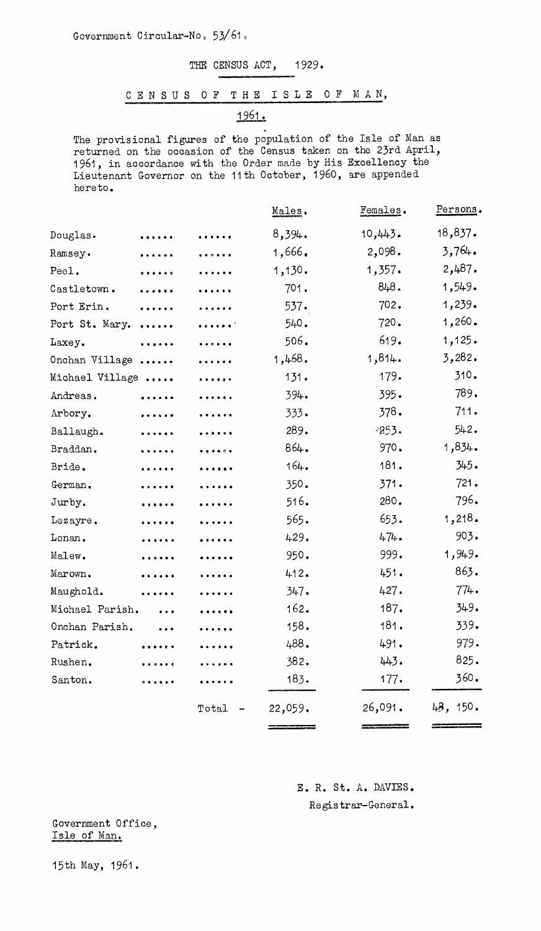Government Circular-No, 53/61.

## THE CENSUS ACT, 1929.

## CENSUS OF THE ISLE OF MAN,

1961.

The provisional figures of the population of the Isle of Man as returned on the occasion of the Census taken on the 23rd April, 1961, in accordance with the Order made by His Excellency the Lieutenant Governor on the 11th October, 1960, are appended hereto.

| .               |   |                                                                       |         |          |
|-----------------|---|-----------------------------------------------------------------------|---------|----------|
|                 | . | 8,394.                                                                | 10,443. | 18,837.  |
| .               |   | 1,666.                                                                | 2,098.  | 3,764.   |
| .               |   | 1,130.                                                                | 1,357.  | 2,487.   |
| .               |   | 701.                                                                  | 848.    | 1,549.   |
| .               |   | 537.                                                                  | 702.    | 1,239.   |
| $\ddotsc$       |   | 540.                                                                  | 720.    | 1,260.   |
| .               |   | 506.                                                                  | 619.    | 1,125.   |
| Onchan Village  |   | 1,468.                                                                | 1,814.  | 3,282.   |
| Michael Village |   | 131.                                                                  | 179.    | 310.     |
| .               |   | 394.                                                                  | 395.    | 789.     |
| .               |   | 333.                                                                  | 378.    | 711.     |
| .               |   | 289.                                                                  | $-253.$ | 542.     |
| .               |   | 864.                                                                  | 970.    | 1,834.   |
| .               | . | 164.                                                                  | 181.    | 345.     |
| .               | . | 350.                                                                  | 371.    | 721.     |
| .               |   | 516.                                                                  | 280.    | 796.     |
| .               | . | 565.                                                                  | 653.    | 1,218.   |
| .               | . | 429.                                                                  | 474.    | 903.     |
| .               | . | 950.                                                                  | 999.    | 1,949.   |
| .               | . | 412.                                                                  | 451.    | 863.     |
|                 | . | 347.                                                                  | 427.    | 774.     |
| $\ddotsc$       | . | 162.                                                                  | 187.    | 349.     |
|                 |   | 158.                                                                  | 181.    | 339.     |
|                 |   | 488.                                                                  | 491.    | 979.     |
|                 |   | 382.                                                                  | 443.    | 825.     |
|                 |   | 183.                                                                  | 177.    | 360.     |
|                 |   | 22,059.                                                               | 26,091. | 48, 150. |
|                 |   | .<br>.<br>.<br>.<br>.<br>.<br>.<br>.<br>.<br>.<br>.<br><br>.<br>Total |         |          |

E. R. St. A. DAVIES. Registrar-General.

Government Office, Isle of Man.

15th May, 1961.